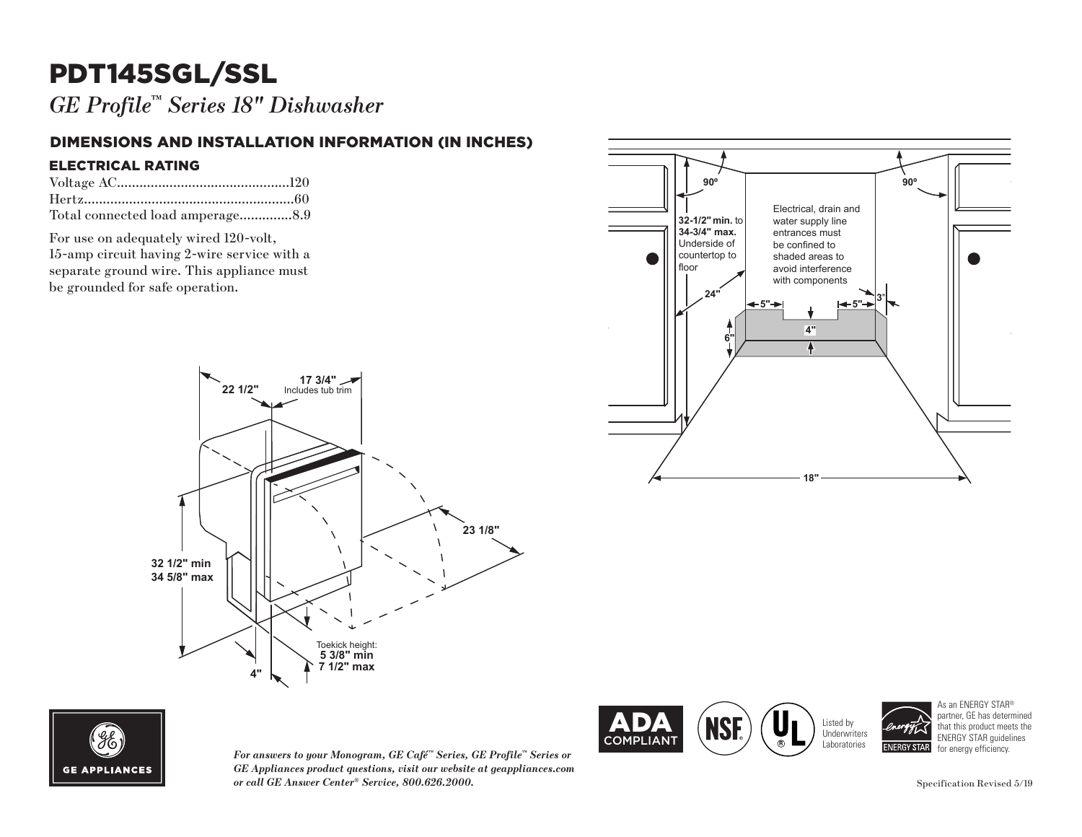## PDT145SGL/SSL

*GE Profile™ Series 18" Dishwasher*

### DIMENSIONS AND INSTALLATION INFORMATION (IN INCHES)

#### ELECTRICAL RATING

| Total connected load amperage8.9 |  |
|----------------------------------|--|

For use on adequately wired 120-volt, 15-amp circuit having 2-wire service with a separate ground wire. This appliance must be grounded for safe operation.







*GE Appliances product questions, visit our website at geappliances.com or call GE Answer Center® Service, 800.626.2000.*





As an ENERGY STAR® partner, GE has determined that this product meets the ENERGY STAR guidelines<br>for energy efficiency.